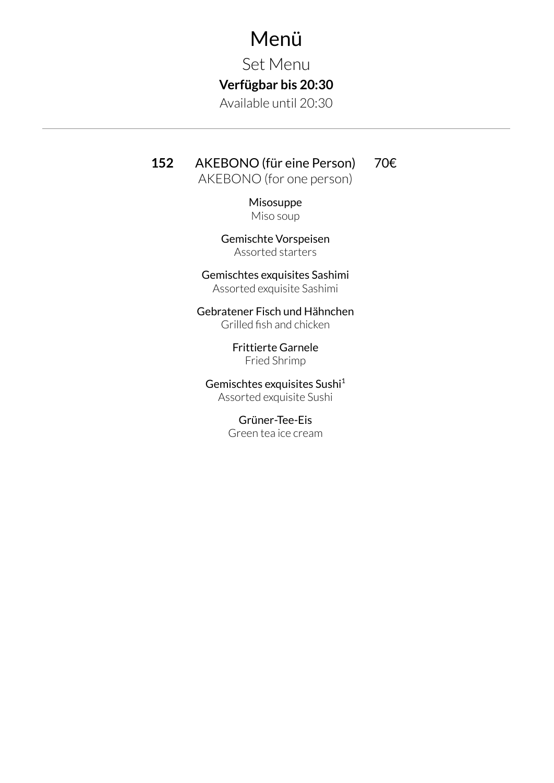## Menü

Set Menu

## **Verfügbar bis 20:30**

Available until 20:30

## **152** AKEBONO (für eine Person)

70€

AKEBONO (for one person)

Misosuppe Miso soup

Gemischte Vorspeisen Assorted starters

Gemischtes exquisites Sashimi Assorted exquisite Sashimi

Gebratener Fisch und Hähnchen Grilled fish and chicken

> Frittierte Garnele Fried Shrimp

Gemischtes exquisites Sushi 1 Assorted exquisite Sushi

> Grüner-Tee-Eis Green tea ice cream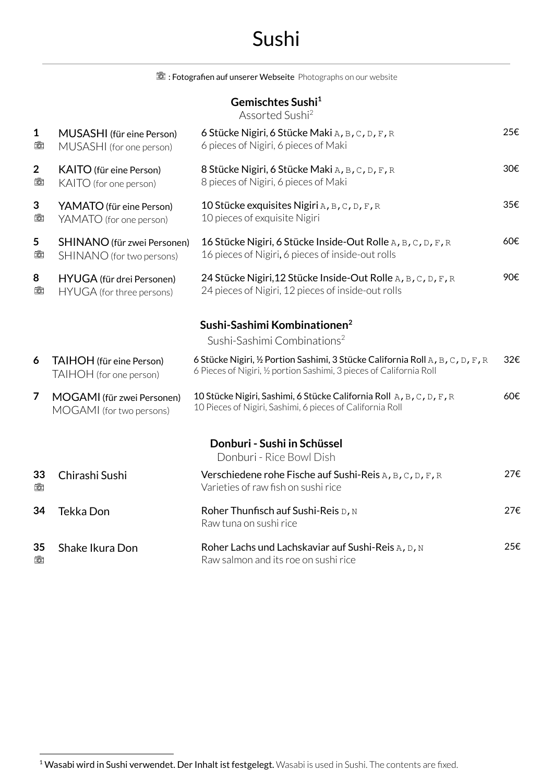# Sushi

|                               |                                                          | Et : Fotografien auf unserer Webseite Photographs on our website                                                                                      |      |
|-------------------------------|----------------------------------------------------------|-------------------------------------------------------------------------------------------------------------------------------------------------------|------|
|                               |                                                          | Gemischtes Sushi <sup>1</sup><br>Assorted Sushi <sup>2</sup>                                                                                          |      |
| $\mathbf 1$<br>tò             | MUSASHI (für eine Person)<br>MUSASHI (for one person)    | 6 Stücke Nigiri, 6 Stücke Maki A, B, C, D, F, R<br>6 pieces of Nigiri, 6 pieces of Maki                                                               | 25€  |
| $\overline{\mathbf{2}}$<br>tò | <b>KAITO</b> (für eine Person)<br>KAITO (for one person) | 8 Stücke Nigiri, 6 Stücke Maki A, B, C, D, F, R<br>8 pieces of Nigiri, 6 pieces of Maki                                                               | 30€  |
| 3<br>tò                       | YAMATO (für eine Person)<br>YAMATO (for one person)      | 10 Stücke exquisites Nigiri A, B, C, D, F, R<br>10 pieces of exquisite Nigiri                                                                         | 35€  |
| 5<br>tò                       | SHINANO (für zwei Personen)<br>SHINANO (for two persons) | 16 Stücke Nigiri, 6 Stücke Inside-Out Rolle A, B, C, D, F, R<br>16 pieces of Nigiri, 6 pieces of inside-out rolls                                     | 60€  |
| 8<br>tò                       | HYUGA (für drei Personen)<br>HYUGA (for three persons)   | 24 Stücke Nigiri, 12 Stücke Inside-Out Rolle A, B, C, D, F, R<br>24 pieces of Nigiri, 12 pieces of inside-out rolls                                   | 90€. |
|                               |                                                          | Sushi-Sashimi Kombinationen <sup>2</sup><br>Sushi-Sashimi Combinations <sup>2</sup>                                                                   |      |
| 6                             | TAIHOH (für eine Person)<br>TAIHOH (for one person)      | 6 Stücke Nigiri, ½ Portion Sashimi, 3 Stücke California Roll A, B, C, D, F, R<br>6 Pieces of Nigiri, 1/2 portion Sashimi, 3 pieces of California Roll | 32€  |
| 7                             | MOGAMI (für zwei Personen)<br>MOGAMI (for two persons)   | 10 Stücke Nigiri, Sashimi, 6 Stücke California Roll A, B, C, D, F, R<br>10 Pieces of Nigiri, Sashimi, 6 pieces of California Roll                     | 60€  |
|                               |                                                          | Donburi - Sushi in Schüssel<br>Donburi - Rice Bowl Dish                                                                                               |      |
| 33<br>tò                      | Chirashi Sushi                                           | Verschiedene rohe Fische auf Sushi-Reis A, B, C, D, F, R<br>Varieties of raw fish on sushi rice                                                       | 27€  |
| 34                            | Tekka Don                                                | Roher Thunfisch auf Sushi-Reis D, N<br>Raw tuna on sushi rice                                                                                         | 27€  |

**35** Shake Ikura Don Roher Lachs und Lachskaviar auf Sushi-Reis A, D, N<br>Raw salmon and its roe on sushi rice Raw salmon and its roe on sushi rice 25€

<sup>&</sup>lt;sup>1</sup> Wasabi wird in Sushi verwendet. Der Inhalt ist festgelegt. Wasabi is used in Sushi. The contents are fixed.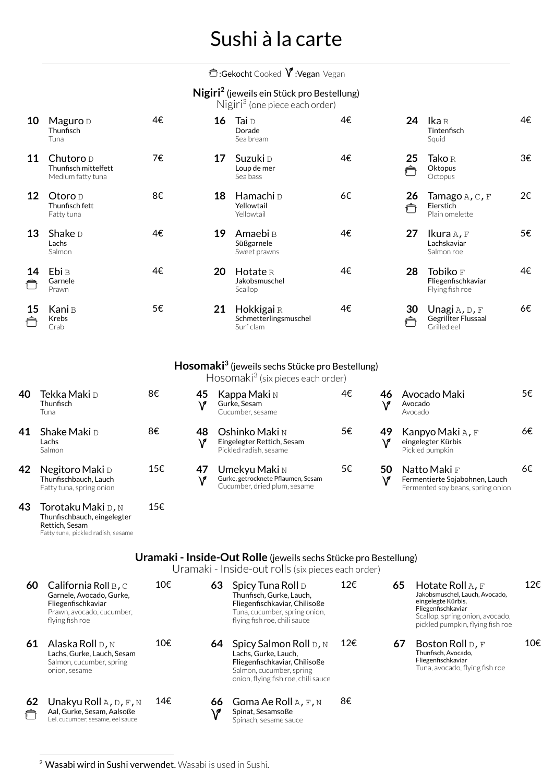# Sushi à la carte

### **<u>**</u>:Gekocht Cooked **V**:Vegan Vegan

### **Nigiri** (jeweils ein Stück pro Bestellung) **<sup>2</sup>**

Nigiri <sup>3</sup> (one piece each order)

| 10      | Maguro $D$<br>Thunfisch<br>Tuna                          | 4€ | 16 | Tai D<br>Dorade<br>Sea bream                     | 4€ | 24      | <b>Ika</b> R<br>Tintenfisch<br>Squid                        | 4€ |
|---------|----------------------------------------------------------|----|----|--------------------------------------------------|----|---------|-------------------------------------------------------------|----|
| 11      | Chutoro $D$<br>Thunfisch mittelfett<br>Medium fatty tuna | 7€ | 17 | Suzuki D<br>Loup de mer<br>Sea bass              | 4€ | 25      | <b>Tako</b> R<br>Oktopus<br>Octopus                         | 3€ |
| 12      | Otoro <u>p</u><br>Thunfisch fett<br>Fatty tuna           | 8€ | 18 | Hamachi <sub>D</sub><br>Yellowtail<br>Yellowtail | 6€ | 26<br>₳ | <b>Татаgo</b> А, С, F<br>Eierstich<br>Plain omelette        | 2€ |
| 13      | Shake $\nu$<br>Lachs<br>Salmon                           | 4€ | 19 | Amaebi B<br>Süßgarnele<br>Sweet prawns           | 4€ | 27      | Ikura $A$ , F<br>Lachskaviar<br>Salmon roe                  | 5€ |
| 14<br>户 | Ebi <sub>B</sub><br>Garnele<br>Prawn                     | 4€ | 20 | $H$ otate R<br>Jakobsmuschel<br>Scallop          | 4€ | 28      | Tobiko $_{\rm F}$<br>Fliegenfischkaviar<br>Flying fish roe  | 4€ |
| 15      | Kani B<br><b>Krebs</b><br>Crab                           | 5€ | 21 | Hokkigai R<br>Schmetterlingsmuschel<br>Surf clam | 4€ | 30      | Unagi $A$ , $D$ , $F$<br>Gegrillter Flussaal<br>Grilled eel | 6€ |

### **Hosomaki <sup>3</sup>** (jeweils sechs Stücke pro Bestellung)

Hosomaki <sup>3</sup> (six pieces each order)

5€

6€

6€

| 40 | <b>Tekka Maki</b> D<br>Thunfisch<br>Tuna                             | 8€  | 45<br>\? | Kappa Maki N<br>Gurke, Sesam<br>Cucumber, sesame                                    | 4€ | 46       | Avocado Maki<br>Avocado<br>Avocado                                                  |
|----|----------------------------------------------------------------------|-----|----------|-------------------------------------------------------------------------------------|----|----------|-------------------------------------------------------------------------------------|
| 41 | Shake Maki D<br>Lachs<br>Salmon                                      | 8€  | 48<br>\? | <b>Oshinko Maki</b> N<br>Eingelegter Rettich, Sesam<br>Pickled radish, sesame       | 5€ | 49<br>V  | Kanpyo Maki A, F<br>eingelegter Kürbis<br>Pickled pumpkin                           |
| 42 | Negitoro Maki D<br>Thunfischbauch, Lauch<br>Fatty tuna, spring onion | 15€ | 47<br>۱r | Umekyu Maki N<br>Gurke, getrocknete Pflaumen, Sesam<br>Cucumber, dried plum, sesame | 5€ | 50<br>۱î | Natto Maki F<br>Fermentierte Sojabohnen, Lauch<br>Fermented soy beans, spring onion |
| 43 | Torotaku Maki ג, א                                                   | 15€ |          |                                                                                     |    |          |                                                                                     |

## **Uramaki - Inside-Out Rolle** (jeweils sechs Stücke pro Bestellung)

Uramaki - Inside-out rolls (six pieces each order)

| 60      | California Roll $B, C$<br>Garnele, Avocado, Gurke,<br>Fliegenfischkaviar<br>Prawn, avocado, cucumber,<br>flying fish roe | 10€ | 63       | Spicy Tuna Roll D<br>Thunfisch, Gurke, Lauch,<br>Fliegenfischkaviar, Chilisoße<br>Tuna, cucumber, spring onion,<br>flying fish roe, chili sauce    | 12€ | 65 | Hotate Roll $A$ , F<br>Jakobsmuschel, Lauch, Avocado,<br>eingelegte Kürbis,<br>Fliegenfischkaviar<br>Scallop, spring onion, avocado,<br>pickled pumpkin, flying fish roe | 12€ |
|---------|--------------------------------------------------------------------------------------------------------------------------|-----|----------|----------------------------------------------------------------------------------------------------------------------------------------------------|-----|----|--------------------------------------------------------------------------------------------------------------------------------------------------------------------------|-----|
| 61      | Alaska Roll D, N<br>Lachs, Gurke, Lauch, Sesam<br>Salmon, cucumber, spring<br>onion, sesame                              | 10€ | 64       | Spicy Salmon Roll D, N<br>Lachs, Gurke, Lauch,<br>Fliegenfischkaviar, Chilisoße<br>Salmon, cucumber, spring<br>onion, flying fish roe, chili sauce | 12€ | 67 | Boston Roll $D, F$<br>Thunfisch, Avocado.<br>Fliegenfischkaviar<br>Tuna, avocado, flying fish roe                                                                        | 10€ |
| 62<br>Ô | Unakyu Roll $A, D, F, N$<br>Aal, Gurke, Sesam, Aalsoße<br>Eel, cucumber, sesame, eel sauce                               | 14€ | 66<br>۱P | Goma Ae Roll $A$ , $F$ , $N$<br>Spinat, Sesamsoße<br>Spinach, sesame sauce                                                                         | 8€  |    |                                                                                                                                                                          |     |

<sup>2</sup> Wasabi wird in Sushi verwendet. Wasabi is used in Sushi.

Thunfischbauch, eingelegter

Fatty tuna, pickled radish, sesame

Rettich, Sesam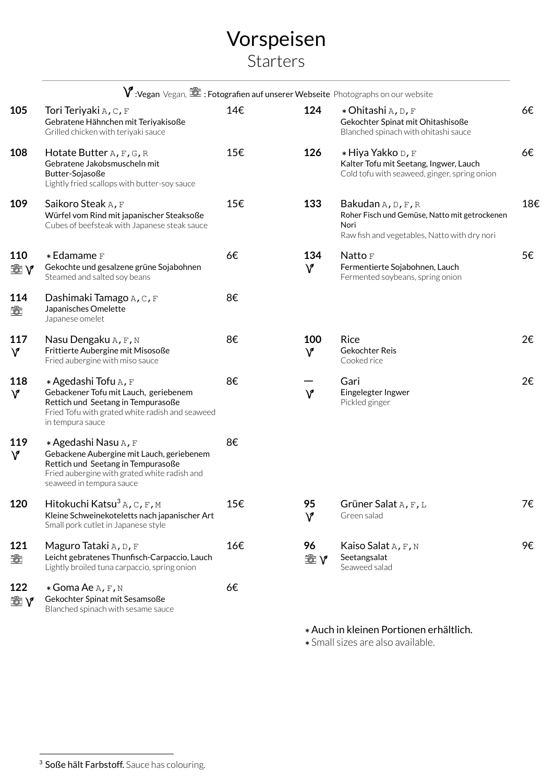## Vorspeisen **Starters**

|                   |                                                                                                                                                                                     |     |                     | $\mathsf V$ :Vegan Vegan, t $\widehat{\boxtimes}$ : Fotografien auf unserer Webseite Photographs on our website                        |
|-------------------|-------------------------------------------------------------------------------------------------------------------------------------------------------------------------------------|-----|---------------------|----------------------------------------------------------------------------------------------------------------------------------------|
| 105               | Tori Teriyaki $A, C, F$<br>Gebratene Hähnchen mit Teriyakisoße<br>Grilled chicken with teriyaki sauce                                                                               | 14€ | 124                 | * Ohitashi A, D, F<br>Gekochter Spinat mit Ohitashisoße<br>Blanched spinach with ohitashi sauce                                        |
| 108               | Hotate Butter $A$ , $F$ , $G$ , $R$<br>Gebratene Jakobsmuscheln mit<br>Butter-Sojasoße<br>Lightly fried scallops with butter-soy sauce                                              | 15€ | 126                 | * Hiya Yakko D, F<br>Kalter Tofu mit Seetang, Ingwer, Lauch<br>Cold tofu with seaweed, ginger, spring onion                            |
| 109               | Saikoro Steak A, F<br>Würfel vom Rind mit japanischer Steaksoße<br>Cubes of beefsteak with Japanese steak sauce                                                                     | 15€ | 133                 | Bakudan $A$ , $D$ , $F$ , $R$<br>Roher Fisch und Gemüse, Natto mit getrockenen<br>Nori<br>Raw fish and vegetables, Natto with dry nori |
| 110<br>tà v       | * Edamame F<br>Gekochte und gesalzene grüne Sojabohnen<br>Steamed and salted soy beans                                                                                              | 6€  | 134<br>$\mathsf{V}$ | Natto F<br>Fermentierte Sojabohnen, Lauch<br>Fermented soybeans, spring onion                                                          |
| 114<br>齿          | Dashimaki Tamago A, C, F<br>Japanisches Omelette<br>Japanese omelet                                                                                                                 | 8€  |                     |                                                                                                                                        |
| 117<br>$\sqrt{2}$ | Nasu Dengaku A, F, N<br>Frittierte Aubergine mit Misosoße<br>Fried aubergine with miso sauce                                                                                        | 8€  | 100<br>$\mathsf{V}$ | <b>Rice</b><br>Gekochter Reis<br>Cooked rice                                                                                           |
| 118<br>$\sqrt{2}$ | * Agedashi Tofu A, F<br>Gebackener Tofu mit Lauch, geriebenem<br>Rettich und Seetang in Tempurasoße<br>Fried Tofu with grated white radish and seaweed<br>in tempura sauce          | 8€  | $\mathsf{V}$        | Gari<br>Eingelegter Ingwer<br>Pickled ginger                                                                                           |
| 119<br>$\sqrt{2}$ | * Agedashi Nasu A, F<br>Gebackene Aubergine mit Lauch, geriebenem<br>Rettich und Seetang in Tempurasoße<br>Fried aubergine with grated white radish and<br>seaweed in tempura sauce | 8€  |                     |                                                                                                                                        |
| 120               | Hitokuchi Katsu <sup>3</sup> A, C, F, M<br>Kleine Schweinekoteletts nach japanischer Art<br>Small pork cutlet in Japanese style                                                     | 15€ | 95<br>$\mathsf{V}$  | Grüner Salat A, F, L<br>Green salad                                                                                                    |
| 121<br>命          | Maguro Tataki A, D, F<br>Leicht gebratenes Thunfisch-Carpaccio, Lauch<br>Lightly broiled tuna carpaccio, spring onion                                                               | 16€ | 96<br>tà y          | Kaiso Salat A, F, N<br>Seetangsalat<br>Seaweed salad                                                                                   |
| 122<br>tà v       | * Goma Ae A, F, N<br>Gekochter Spinat mit Sesamsoße<br>Blanched spinach with sesame sauce                                                                                           | 6€  |                     |                                                                                                                                        |
|                   |                                                                                                                                                                                     |     |                     |                                                                                                                                        |

### \*Auch in kleinen Portionen erhältlich.

6€

6€

18€

5€

2€

2€

7€

9€

\*Small sizes are also available.

<sup>&</sup>lt;sup>3</sup> Soße hält Farbstoff. Sauce has colouring.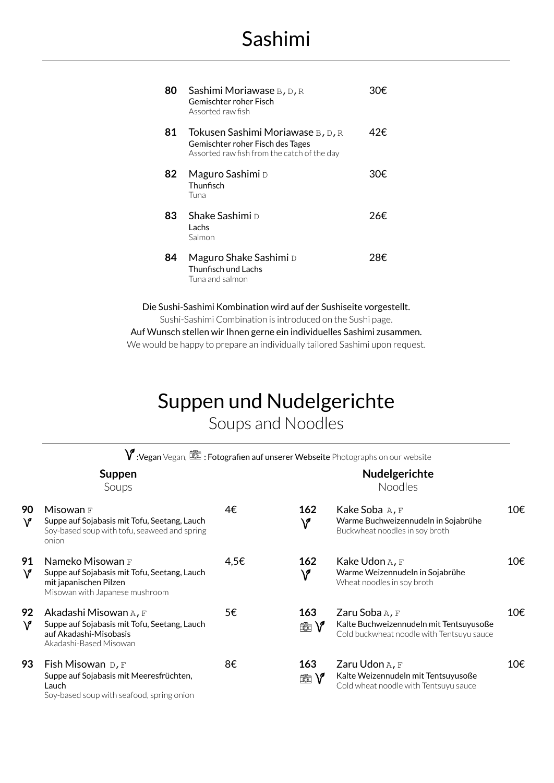| 80 | Sashimi Moriawase B, D, R<br>Gemischter roher Fisch<br>Assorted raw fish                                             |     |
|----|----------------------------------------------------------------------------------------------------------------------|-----|
| 81 | Tokusen Sashimi Moriawase B, D, R<br>Gemischter roher Fisch des Tages<br>Assorted raw fish from the catch of the day | 42€ |
| 82 | Maguro Sashimi D<br>Thunfisch<br>Tuna                                                                                | 30€ |
| 83 | Shake Sashimi D<br>Lachs<br>Salmon                                                                                   | 26€ |
| 84 | Maguro Shake Sashimi D<br>Thunfisch und Lachs<br>Tuna and salmon                                                     | 28€ |

Die Sushi-Sashimi Kombination wird auf der Sushiseite vorgestellt. Sushi-Sashimi Combination is introduced on the Sushi page.

Auf Wunsch stellen wir Ihnen gerne ein individuelles Sashimi zusammen. We would be happy to prepare an individually tailored Sashimi upon request.

## Suppen und Nudelgerichte Soups and Noodles

 $\forall$  :Vegan Vegan,  $\widehat{\boxtimes}$  : Fotografien auf unserer Webseite Photographs on our website

**Nudelgerichte** Noodles

Soups

| Misowan F<br>Suppe auf Sojabasis mit Tofu, Seetang, Lauch<br>Soy-based soup with tofu, seaweed and spring<br>onion           | 4€   | 162<br>${\sf V}$    | Kake Soba A, F<br>Warme Buchweizennudeln in Sojabrühe<br>Buckwheat noodles in soy broth                | 10€. |
|------------------------------------------------------------------------------------------------------------------------------|------|---------------------|--------------------------------------------------------------------------------------------------------|------|
| Nameko Misowan F<br>Suppe auf Sojabasis mit Tofu, Seetang, Lauch<br>mit japanischen Pilzen<br>Misowan with Japanese mushroom | 4,5€ | 162<br>$\mathsf{V}$ | Kake Udon A, F<br>Warme Weizennudeln in Sojabrühe<br>Wheat noodles in soy broth                        | 10€. |
| Akadashi Misowan A, F<br>Suppe auf Sojabasis mit Tofu, Seetang, Lauch<br>auf Akadashi-Misobasis<br>Akadashi-Based Misowan    | 5€   | 163<br>tà V         | Zaru Soba A, F<br>Kalte Buchweizennudeln mit Tentsuyusoße<br>Cold buckwheat noodle with Tentsuyu sauce | 10€. |
| Fish Misowan $D, F$<br>Suppe auf Sojabasis mit Meeresfrüchten,<br>Lauch<br>Soy-based soup with seafood, spring onion         | 8€   | 163<br>tà V         | Zaru Udon A, F<br>Kalte Weizennudeln mit Tentsuyusoße<br>Cold wheat noodle with Tentsuyu sauce         | 10€. |
|                                                                                                                              |      |                     |                                                                                                        |      |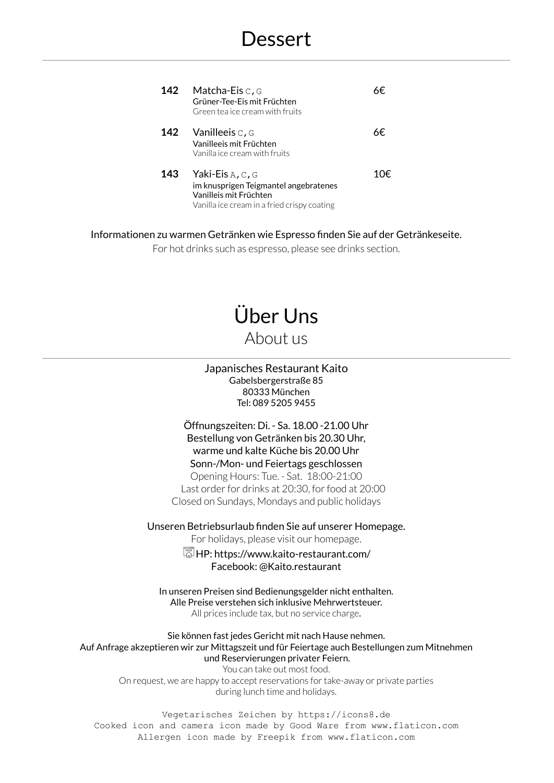| 142 | Matcha-Eis $\circ$ , $\circ$<br>Grüner-Tee-Eis mit Früchten<br>Green tea ice cream with fruits                                       |    |
|-----|--------------------------------------------------------------------------------------------------------------------------------------|----|
|     | 142 Vanilleeis C, G<br>Vanilleeis mit Früchten<br>Vanilla ice cream with fruits                                                      | Κ€ |
| 143 | Yaki-Eis $A, C, G$<br>im knusprigen Teigmantel angebratenes<br>Vanilleis mit Früchten<br>Vanilla ice cream in a fried crispy coating |    |

Informationen zu warmen Getränken wie Espresso finden Sie auf der Getränkeseite.

For hot drinks such as espresso, please see drinks section.

# Über Uns About us

Japanisches Restaurant Kaito Gabelsbergerstraße 85 80333 München Tel: 089 5205 9455

Öffnungszeiten: Di. - Sa. 18.00 -21.00 Uhr Bestellung von Getränken bis 20.30 Uhr, warme und kalte Küche bis 20.00 Uhr Sonn-/Mon- und Feiertags geschlossen Opening Hours: Tue. - Sat. 18:00-21:00 Last order for drinks at 20:30, for food at 20:00 Closed on Sundays, Mondays and public holidays

Unseren Betriebsurlaub finden Sie auf unserer Homepage.

For holidays, please visit our homepage.

 $\overline{\mathbb{R}}$  HP: https://www.kaito-restaurant.com/ Facebook: @Kaito.restaurant

In unseren Preisen sind Bedienungsgelder nicht enthalten. Alle Preise verstehen sich inklusive Mehrwertsteuer. All prices include tax, but no service charge.

Sie können fast jedes Gericht mit nach Hause nehmen. Auf Anfrage akzeptieren wir zur Mittagszeit und für Feiertage auch Bestellungen zum Mitnehmen und Reservierungen privater Feiern.

You can take out most food. On request, we are happy to accept reservations for take-away or private parties during lunch time and holidays.

Vegetarisches Zeichen by https://icons8.de Cooked icon and camera icon made by Good Ware from www.flaticon.com Allergen icon made by Freepik from www.flaticon.com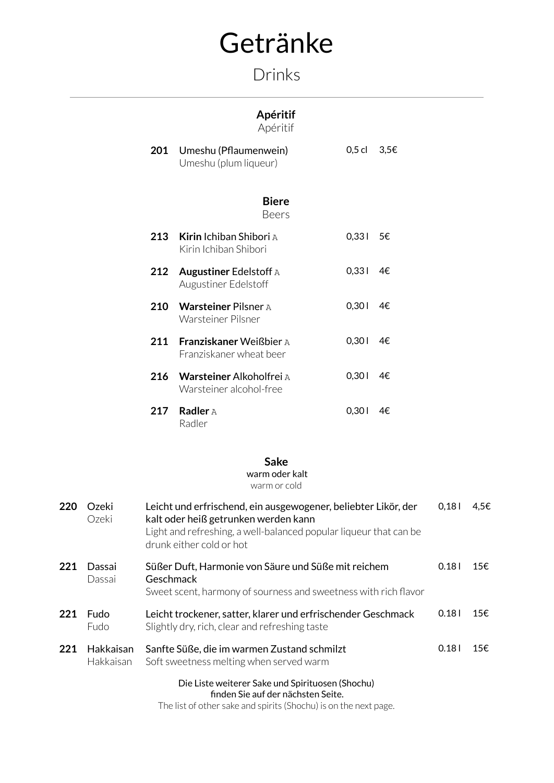# Getränke

## Drinks

## **Apéritif**

Apéritif

| 201 | Umeshu (Pflaumenwein)<br>Umeshu (plum liqueur)            | $0,5$ cl | 3,5€ |
|-----|-----------------------------------------------------------|----------|------|
|     | <b>Biere</b><br>Beers                                     |          |      |
| 213 | <b>Kirin</b> Ichiban Shibori A<br>Kirin Ichiban Shibori   | 0,331    | 5€   |
| 212 | <b>Augustiner Edelstoff A</b><br>Augustiner Edelstoff     | 0,331    | 4€   |
| 210 | <b>Warsteiner Pilsner A</b><br>Warsteiner Pilsner         | 0,301    | 4€   |
| 211 | <b>Franziskaner Weißbier A</b><br>Franziskaner wheat beer | 0,301    | 4€   |
| 216 | Warsteiner Alkoholfrei A<br>Warsteiner alcohol-free       | 0,301    | 4€   |
| 217 | <b>Radler</b> A<br>Radler                                 | 0,301    | 4€.  |

### **Sake**

#### warm oder kalt warm or cold

| 220 | Ozeki<br>Ozeki         | Leicht und erfrischend, ein ausgewogener, beliebter Likör, der<br>kalt oder heiß getrunken werden kann<br>Light and refreshing, a well-balanced popular liqueur that can be<br>drunk either cold or hot | 0,181 | 4,5€ |
|-----|------------------------|---------------------------------------------------------------------------------------------------------------------------------------------------------------------------------------------------------|-------|------|
| 221 | Dassai<br>Dassai       | Süßer Duft, Harmonie von Säure und Süße mit reichem<br>Geschmack<br>Sweet scent, harmony of sourness and sweetness with rich flavor                                                                     | 0.181 | 15€. |
| 221 | <b>Fudo</b><br>Fudo    | Leicht trockener, satter, klarer und erfrischender Geschmack<br>Slightly dry, rich, clear and refreshing taste                                                                                          | 0.181 | 15€. |
| 221 | Hakkaisan<br>Hakkaisan | Sanfte Süße, die im warmen Zustand schmilzt<br>Soft sweetness melting when served warm                                                                                                                  | 0.181 | 15€. |
|     |                        | Die Liste weiterer Sake und Spirituosen (Shochu)                                                                                                                                                        |       |      |

finden Sie auf der nächsten Seite.

The list of other sake and spirits (Shochu) is on the next page.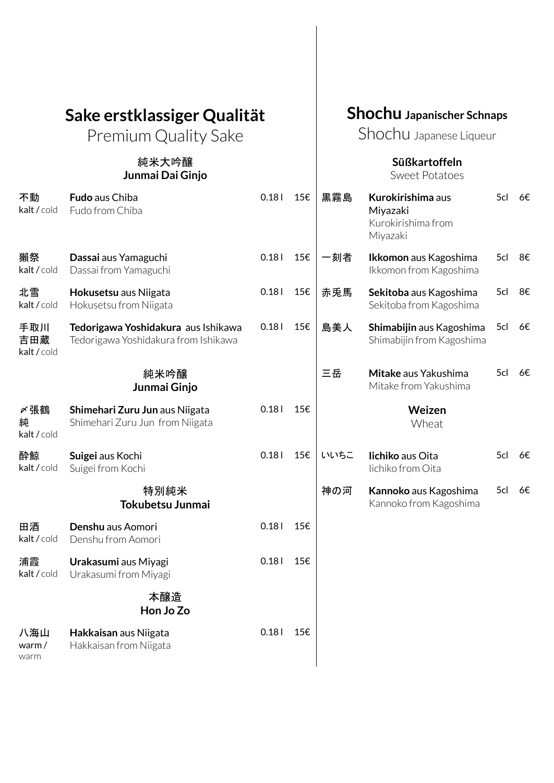# **Sake erstklassiger Qualität**

Premium Quality Sake

### 純米大吟醸 **Junmai Dai Ginjo**

## **Shochu Japanischer Schnaps**

Shochu Japanese Liqueur

### **Süßkartoffeln** Sweet Potatoes

| 不動<br>kalt / cold         | Fudo aus Chiba<br>Fudo from Chiba                                           | 0.181 | 15€ | 黒霧島<br>Kurokirishima aus<br>Miyazaki<br>Kurokirishima from<br>Miyazaki |                                                       | 5cl | 6€ |
|---------------------------|-----------------------------------------------------------------------------|-------|-----|------------------------------------------------------------------------|-------------------------------------------------------|-----|----|
| 獺祭<br>kalt / cold         | Dassai aus Yamaguchi<br>Dassai from Yamaguchi                               | 0.18  | 15€ | 一刻者                                                                    | Ikkomon aus Kagoshima<br>Ikkomon from Kagoshima       | 5cl | 8€ |
| 北雪<br>kalt / cold         | Hokusetsu aus Niigata<br>Hokusetsu from Niigata                             | 0.181 | 15€ | 赤兎馬                                                                    | Sekitoba aus Kagoshima<br>Sekitoba from Kagoshima     | 5cl | 8€ |
| 手取川<br>吉田蔵<br>kalt / cold | Tedorigawa Yoshidakura aus Ishikawa<br>Tedorigawa Yoshidakura from Ishikawa | 0.181 | 15€ | 島美人                                                                    | Shimabijin aus Kagoshima<br>Shimabijin from Kagoshima | 5cl | 6€ |
|                           | 純米吟醸<br>Junmai Ginjo                                                        |       |     | 三岳                                                                     | Mitake aus Yakushima<br>Mitake from Yakushima         | 5cl | 6€ |
| 〆張鶴<br>純<br>kalt / cold   | Shimehari Zuru Jun aus Niigata<br>Shimehari Zuru Jun from Niigata           | 0.181 | 15€ |                                                                        | Weizen<br>Wheat                                       |     |    |
| 酔鯨<br>kalt/cold           | Suigei aus Kochi<br>Suigei from Kochi                                       | 0.181 | 15€ | いいちこ                                                                   | lichiko aus Oita<br>Iichiko from Oita                 | 5cl | 6€ |
|                           | 特別純米<br>Tokubetsu Junmai                                                    |       |     | 神の河                                                                    | Kannoko aus Kagoshima<br>Kannoko from Kagoshima       | 5cl | 6€ |
| 田酒<br>kalt/cold           | Denshu aus Aomori<br>Denshu from Aomori                                     | 0.181 | 15€ |                                                                        |                                                       |     |    |
| 浦霞<br>kalt / cold         | Urakasumi aus Miyagi<br>Urakasumi from Miyagi                               | 0.18  | 15€ |                                                                        |                                                       |     |    |
|                           | 本醸造<br>Hon Jo Zo                                                            |       |     |                                                                        |                                                       |     |    |
| 八海山<br>warm/<br>warm      | Hakkaisan aus Niigata<br>Hakkaisan from Niigata                             | 0.181 | 15€ |                                                                        |                                                       |     |    |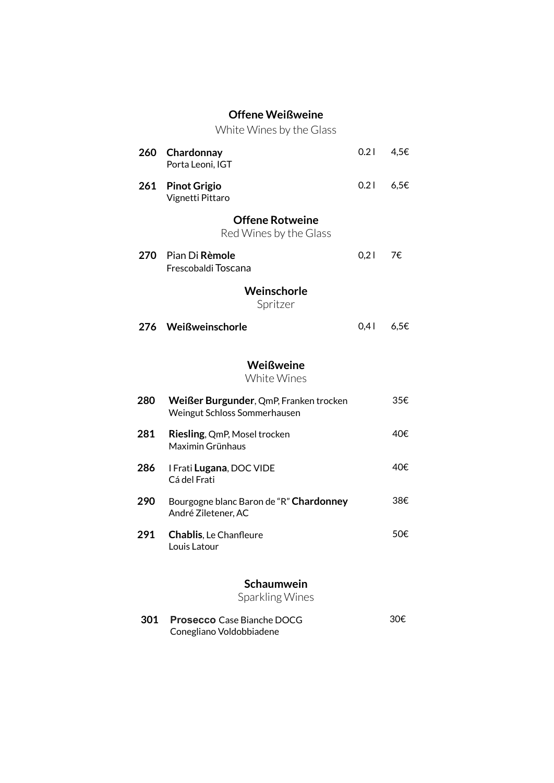### **Offene Weißweine**

White Wines by the Glass

|                         | 260 Chardonnay<br>Porta Leoni, IGT                                     | 0.21 | 4,5€ |  |  |  |  |  |
|-------------------------|------------------------------------------------------------------------|------|------|--|--|--|--|--|
| 261                     | <b>Pinot Grigio</b><br>Vignetti Pittaro                                | 0.21 | 6,5E |  |  |  |  |  |
|                         | <b>Offene Rotweine</b><br>Red Wines by the Glass                       |      |      |  |  |  |  |  |
|                         | 270 Pian Di Rèmole<br>Frescobaldi Toscana                              | 0,21 | 7€   |  |  |  |  |  |
| Weinschorle<br>Spritzer |                                                                        |      |      |  |  |  |  |  |
|                         | 276 Weißweinschorle                                                    | 0,41 | 6,5E |  |  |  |  |  |
|                         | Weißweine<br>White Wines                                               |      |      |  |  |  |  |  |
| 280                     | Weißer Burgunder, QmP, Franken trocken<br>Weingut Schloss Sommerhausen |      | 35€  |  |  |  |  |  |
| 281                     | Riesling, QmP, Mosel trocken<br>Maximin Grünhaus                       |      | 40€  |  |  |  |  |  |
| 286                     | I Frati Lugana, DOC VIDE<br>Cá del Frati                               |      | 40€  |  |  |  |  |  |
| 290                     | Bourgogne blanc Baron de "R" Chardonney<br>André Ziletener, AC         |      | 38€  |  |  |  |  |  |
| 291                     | <b>Chablis, Le Chanfleure</b><br>Louis Latour                          |      | 50€  |  |  |  |  |  |
|                         | Schaumwein<br>Sparkling Wines                                          |      |      |  |  |  |  |  |
| 301                     | <b>Prosecco</b> Case Bianche DOCG<br>Conegliano Voldobbiadene          |      | 30€  |  |  |  |  |  |